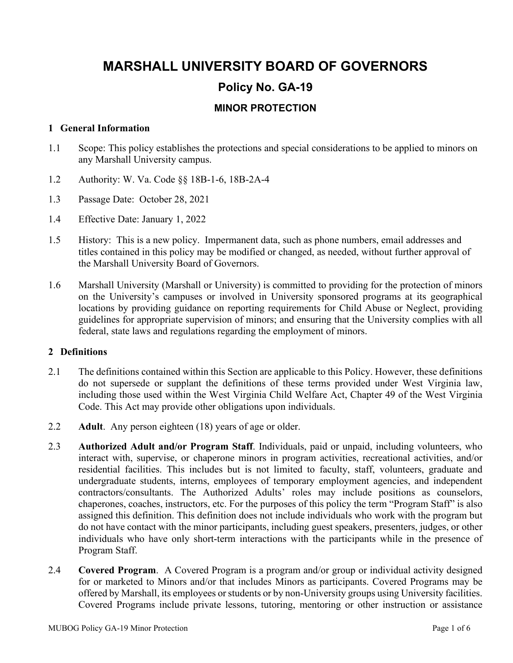# **MARSHALL UNIVERSITY BOARD OF GOVERNORS Policy No. GA-19**

## **MINOR PROTECTION**

#### **1 General Information**

- 1.1 Scope: This policy establishes the protections and special considerations to be applied to minors on any Marshall University campus.
- 1.2 Authority: W. Va. Code §§ 18B-1-6, 18B-2A-4
- 1.3 Passage Date: October 28, 2021
- 1.4 Effective Date: January 1, 2022
- 1.5 History: This is a new policy. Impermanent data, such as phone numbers, email addresses and titles contained in this policy may be modified or changed, as needed, without further approval of the Marshall University Board of Governors.
- 1.6 Marshall University (Marshall or University) is committed to providing for the protection of minors on the University's campuses or involved in University sponsored programs at its geographical locations by providing guidance on reporting requirements for Child Abuse or Neglect, providing guidelines for appropriate supervision of minors; and ensuring that the University complies with all federal, state laws and regulations regarding the employment of minors.

#### **2 Definitions**

- 2.1 The definitions contained within this Section are applicable to this Policy. However, these definitions do not supersede or supplant the definitions of these terms provided under West Virginia law, including those used within the West Virginia Child Welfare Act, Chapter 49 of the West Virginia Code. This Act may provide other obligations upon individuals.
- 2.2 **Adult**. Any person eighteen (18) years of age or older.
- 2.3 **Authorized Adult and/or Program Staff**. Individuals, paid or unpaid, including volunteers, who interact with, supervise, or chaperone minors in program activities, recreational activities, and/or residential facilities. This includes but is not limited to faculty, staff, volunteers, graduate and undergraduate students, interns, employees of temporary employment agencies, and independent contractors/consultants. The Authorized Adults' roles may include positions as counselors, chaperones, coaches, instructors, etc. For the purposes of this policy the term "Program Staff" is also assigned this definition. This definition does not include individuals who work with the program but do not have contact with the minor participants, including guest speakers, presenters, judges, or other individuals who have only short-term interactions with the participants while in the presence of Program Staff.
- 2.4 **Covered Program**. A Covered Program is a program and/or group or individual activity designed for or marketed to Minors and/or that includes Minors as participants. Covered Programs may be offered by Marshall, its employees or students or by non-University groups using University facilities. Covered Programs include private lessons, tutoring, mentoring or other instruction or assistance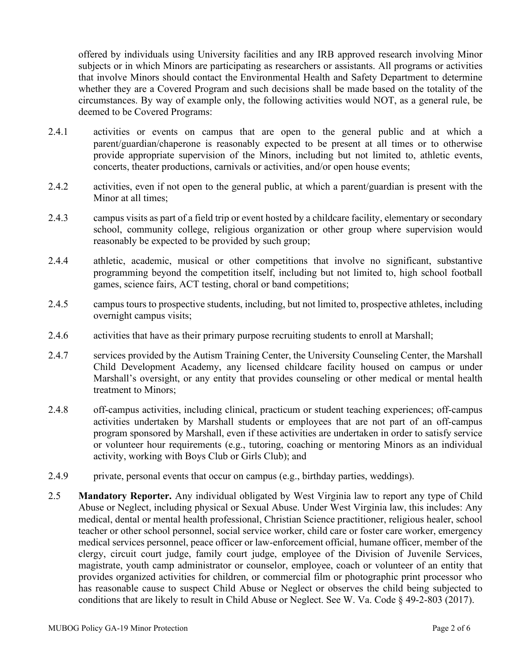offered by individuals using University facilities and any IRB approved research involving Minor subjects or in which Minors are participating as researchers or assistants. All programs or activities that involve Minors should contact the Environmental Health and Safety Department to determine whether they are a Covered Program and such decisions shall be made based on the totality of the circumstances. By way of example only, the following activities would NOT, as a general rule, be deemed to be Covered Programs:

- 2.4.1 activities or events on campus that are open to the general public and at which a parent/guardian/chaperone is reasonably expected to be present at all times or to otherwise provide appropriate supervision of the Minors, including but not limited to, athletic events, concerts, theater productions, carnivals or activities, and/or open house events;
- 2.4.2 activities, even if not open to the general public, at which a parent/guardian is present with the Minor at all times;
- 2.4.3 campus visits as part of a field trip or event hosted by a childcare facility, elementary or secondary school, community college, religious organization or other group where supervision would reasonably be expected to be provided by such group;
- 2.4.4 athletic, academic, musical or other competitions that involve no significant, substantive programming beyond the competition itself, including but not limited to, high school football games, science fairs, ACT testing, choral or band competitions;
- 2.4.5 campus tours to prospective students, including, but not limited to, prospective athletes, including overnight campus visits;
- 2.4.6 activities that have as their primary purpose recruiting students to enroll at Marshall;
- 2.4.7 services provided by the Autism Training Center, the University Counseling Center, the Marshall Child Development Academy, any licensed childcare facility housed on campus or under Marshall's oversight, or any entity that provides counseling or other medical or mental health treatment to Minors;
- 2.4.8 off-campus activities, including clinical, practicum or student teaching experiences; off-campus activities undertaken by Marshall students or employees that are not part of an off-campus program sponsored by Marshall, even if these activities are undertaken in order to satisfy service or volunteer hour requirements (e.g., tutoring, coaching or mentoring Minors as an individual activity, working with Boys Club or Girls Club); and
- 2.4.9 private, personal events that occur on campus (e.g., birthday parties, weddings).
- 2.5 **Mandatory Reporter.** Any individual obligated by West Virginia law to report any type of Child Abuse or Neglect, including physical or Sexual Abuse. Under West Virginia law, this includes: Any medical, dental or mental health professional, Christian Science practitioner, religious healer, school teacher or other school personnel, social service worker, child care or foster care worker, emergency medical services personnel, peace officer or law-enforcement official, humane officer, member of the clergy, circuit court judge, family court judge, employee of the Division of Juvenile Services, magistrate, youth camp administrator or counselor, employee, coach or volunteer of an entity that provides organized activities for children, or commercial film or photographic print processor who has reasonable cause to suspect Child Abuse or Neglect or observes the child being subjected to conditions that are likely to result in Child Abuse or Neglect. See W. Va. Code § 49-2-803 (2017).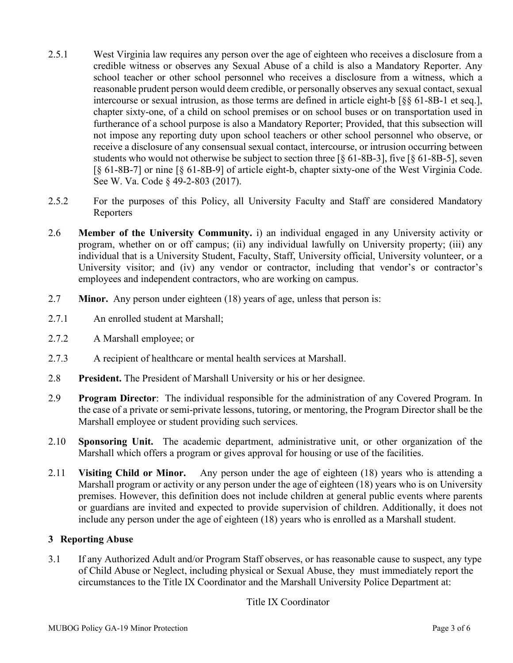- 2.5.1 West Virginia law requires any person over the age of eighteen who receives a disclosure from a credible witness or observes any Sexual Abuse of a child is also a Mandatory Reporter. Any school teacher or other school personnel who receives a disclosure from a witness, which a reasonable prudent person would deem credible, or personally observes any sexual contact, sexual intercourse or sexual intrusion, as those terms are defined in article eight-b [§§ 61-8B-1 et seq.], chapter sixty-one, of a child on school premises or on school buses or on transportation used in furtherance of a school purpose is also a Mandatory Reporter; Provided, that this subsection will not impose any reporting duty upon school teachers or other school personnel who observe, or receive a disclosure of any consensual sexual contact, intercourse, or intrusion occurring between students who would not otherwise be subject to section three [§ 61-8B-3], five [§ 61-8B-5], seven [§ 61-8B-7] or nine [§ 61-8B-9] of article eight-b, chapter sixty-one of the West Virginia Code. See W. Va. Code § 49-2-803 (2017).
- 2.5.2 For the purposes of this Policy, all University Faculty and Staff are considered Mandatory Reporters
- 2.6 **Member of the University Community.** i) an individual engaged in any University activity or program, whether on or off campus; (ii) any individual lawfully on University property; (iii) any individual that is a University Student, Faculty, Staff, University official, University volunteer, or a University visitor; and (iv) any vendor or contractor, including that vendor's or contractor's employees and independent contractors, who are working on campus.
- 2.7 **Minor.** Any person under eighteen (18) years of age, unless that person is:
- 2.7.1 An enrolled student at Marshall;
- 2.7.2 A Marshall employee; or
- 2.7.3 A recipient of healthcare or mental health services at Marshall.
- 2.8 **President.** The President of Marshall University or his or her designee.
- 2.9 **Program Director**: The individual responsible for the administration of any Covered Program. In the case of a private or semi-private lessons, tutoring, or mentoring, the Program Director shall be the Marshall employee or student providing such services.
- 2.10 **Sponsoring Unit.** The academic department, administrative unit, or other organization of the Marshall which offers a program or gives approval for housing or use of the facilities.
- 2.11 **Visiting Child or Minor.** Any person under the age of eighteen (18) years who is attending a Marshall program or activity or any person under the age of eighteen (18) years who is on University premises. However, this definition does not include children at general public events where parents or guardians are invited and expected to provide supervision of children. Additionally, it does not include any person under the age of eighteen (18) years who is enrolled as a Marshall student.

## **3 Reporting Abuse**

3.1 If any Authorized Adult and/or Program Staff observes, or has reasonable cause to suspect, any type of Child Abuse or Neglect, including physical or Sexual Abuse, they must immediately report the circumstances to the Title IX Coordinator and the Marshall University Police Department at:

Title IX Coordinator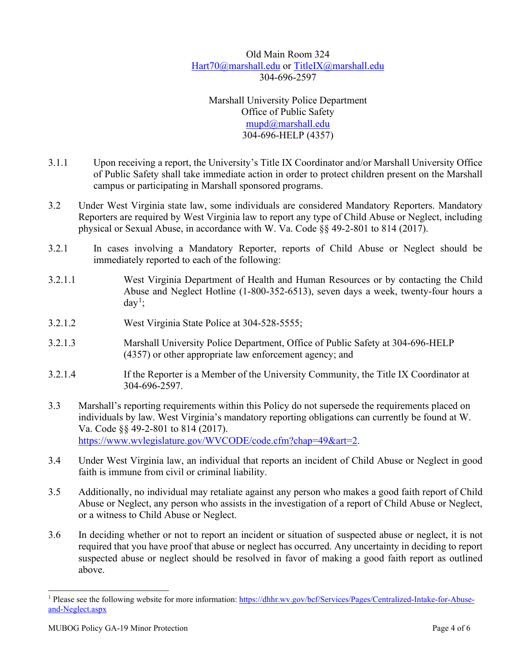Old Main Room 324 [Hart70@marshall.edu](mailto:Hart70@marshall.edu) or [TitleIX@marshall.edu](mailto:TitleIX@marshall.edu) 304‐696‐2597

Marshall University Police Department Office of Public Safety [mupd@marshall.edu](mailto:mupd@marshall.edu) 304-696-HELP (4357)

- 3.1.1 Upon receiving a report, the University's Title IX Coordinator and/or Marshall University Office of Public Safety shall take immediate action in order to protect children present on the Marshall campus or participating in Marshall sponsored programs.
- 3.2 Under West Virginia state law, some individuals are considered Mandatory Reporters. Mandatory Reporters are required by West Virginia law to report any type of Child Abuse or Neglect, including physical or Sexual Abuse, in accordance with W. Va. Code §§ 49-2-801 to 814 (2017).
- 3.2.1 In cases involving a Mandatory Reporter, reports of Child Abuse or Neglect should be immediately reported to each of the following:
- 3.2.1.1 West Virginia Department of Health and Human Resources or by contacting the Child Abuse and Neglect Hotline (1-800-352-6513), seven days a week, twenty-four hours a  $day<sup>1</sup>$  $day<sup>1</sup>$  $day<sup>1</sup>$ ;
- 3.2.1.2 West Virginia State Police at 304-528-5555;
- 3.2.1.3 Marshall University Police Department, Office of Public Safety at 304-696-HELP (4357) or other appropriate law enforcement agency; and
- 3.2.1.4 If the Reporter is a Member of the University Community, the Title IX Coordinator at 304-696‐2597.
- 3.3 Marshall's reporting requirements within this Policy do not supersede the requirements placed on individuals by law. West Virginia's mandatory reporting obligations can currently be found at W. Va. Code §§ 49-2-801 to 814 (2017). [https://www.wvlegislature.gov/WVCODE/code.cfm?chap=49&art=2.](https://www.wvlegislature.gov/WVCODE/code.cfm?chap=49&art=2)
- 3.4 Under West Virginia law, an individual that reports an incident of Child Abuse or Neglect in good faith is immune from civil or criminal liability.
- 3.5 Additionally, no individual may retaliate against any person who makes a good faith report of Child Abuse or Neglect, any person who assists in the investigation of a report of Child Abuse or Neglect, or a witness to Child Abuse or Neglect.
- 3.6 In deciding whether or not to report an incident or situation of suspected abuse or neglect, it is not required that you have proof that abuse or neglect has occurred. Any uncertainty in deciding to report suspected abuse or neglect should be resolved in favor of making a good faith report as outlined above.

<span id="page-3-0"></span><sup>&</sup>lt;sup>1</sup> Please see the following website for more information[: https://dhhr.wv.gov/bcf/Services/Pages/Centralized-Intake-for-Abuse](https://dhhr.wv.gov/bcf/Services/Pages/Centralized-Intake-for-Abuse-and-Neglect.aspx)[and-Neglect.aspx](https://dhhr.wv.gov/bcf/Services/Pages/Centralized-Intake-for-Abuse-and-Neglect.aspx)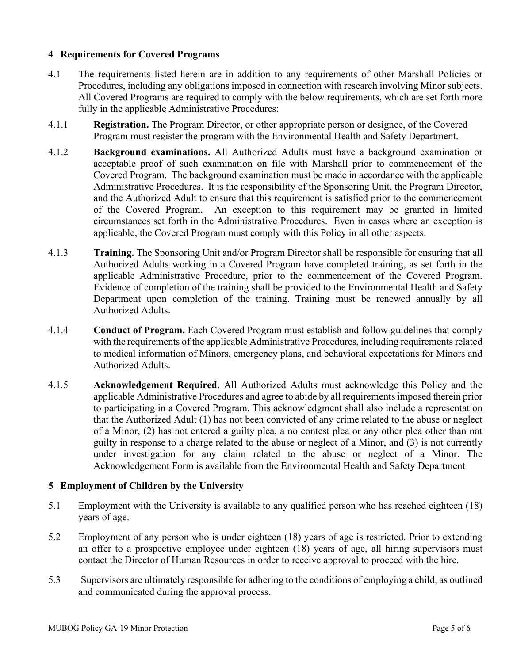#### **4 Requirements for Covered Programs**

- 4.1 The requirements listed herein are in addition to any requirements of other Marshall Policies or Procedures, including any obligations imposed in connection with research involving Minor subjects. All Covered Programs are required to comply with the below requirements, which are set forth more fully in the applicable Administrative Procedures:
- 4.1.1 **Registration.** The Program Director, or other appropriate person or designee, of the Covered Program must register the program with the Environmental Health and Safety Department.
- 4.1.2 **Background examinations.** All Authorized Adults must have a background examination or acceptable proof of such examination on file with Marshall prior to commencement of the Covered Program. The background examination must be made in accordance with the applicable Administrative Procedures. It is the responsibility of the Sponsoring Unit, the Program Director, and the Authorized Adult to ensure that this requirement is satisfied prior to the commencement of the Covered Program. An exception to this requirement may be granted in limited circumstances set forth in the Administrative Procedures. Even in cases where an exception is applicable, the Covered Program must comply with this Policy in all other aspects.
- 4.1.3 **Training.** The Sponsoring Unit and/or Program Director shall be responsible for ensuring that all Authorized Adults working in a Covered Program have completed training, as set forth in the applicable Administrative Procedure, prior to the commencement of the Covered Program. Evidence of completion of the training shall be provided to the Environmental Health and Safety Department upon completion of the training. Training must be renewed annually by all Authorized Adults.
- 4.1.4 **Conduct of Program.** Each Covered Program must establish and follow guidelines that comply with the requirements of the applicable Administrative Procedures, including requirements related to medical information of Minors, emergency plans, and behavioral expectations for Minors and Authorized Adults.
- 4.1.5 **Acknowledgement Required.** All Authorized Adults must acknowledge this Policy and the applicable Administrative Procedures and agree to abide by all requirements imposed therein prior to participating in a Covered Program. This acknowledgment shall also include a representation that the Authorized Adult (1) has not been convicted of any crime related to the abuse or neglect of a Minor, (2) has not entered a guilty plea, a no contest plea or any other plea other than not guilty in response to a charge related to the abuse or neglect of a Minor, and (3) is not currently under investigation for any claim related to the abuse or neglect of a Minor. The Acknowledgement Form is available from the Environmental Health and Safety Department

## **5 Employment of Children by the University**

- 5.1 Employment with the University is available to any qualified person who has reached eighteen (18) years of age.
- 5.2 Employment of any person who is under eighteen (18) years of age is restricted. Prior to extending an offer to a prospective employee under eighteen (18) years of age, all hiring supervisors must contact the Director of Human Resources in order to receive approval to proceed with the hire.
- 5.3 Supervisors are ultimately responsible for adhering to the conditions of employing a child, as outlined and communicated during the approval process.